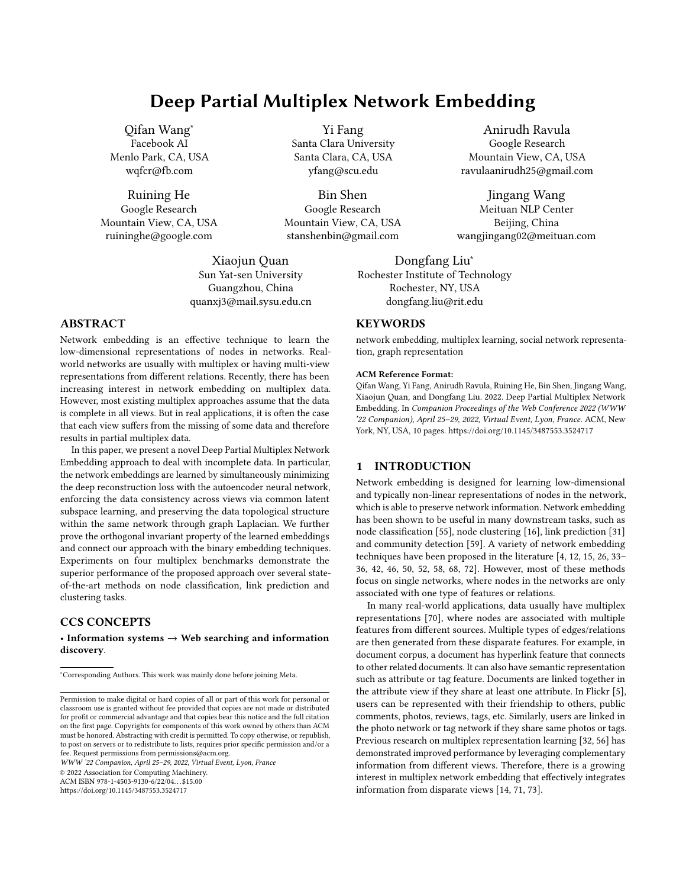# Deep Partial Multiplex Network Embedding

Qifan Wang<sup>∗</sup> Facebook AI Menlo Park, CA, USA wqfcr@fb.com

Ruining He Google Research Mountain View, CA, USA ruininghe@google.com

> Xiaojun Quan Sun Yat-sen University Guangzhou, China quanxj3@mail.sysu.edu.cn

ABSTRACT

Network embedding is an effective technique to learn the low-dimensional representations of nodes in networks. Realworld networks are usually with multiplex or having multi-view representations from different relations. Recently, there has been increasing interest in network embedding on multiplex data. However, most existing multiplex approaches assume that the data is complete in all views. But in real applications, it is often the case that each view suffers from the missing of some data and therefore results in partial multiplex data.

In this paper, we present a novel Deep Partial Multiplex Network Embedding approach to deal with incomplete data. In particular, the network embeddings are learned by simultaneously minimizing the deep reconstruction loss with the autoencoder neural network, enforcing the data consistency across views via common latent subspace learning, and preserving the data topological structure within the same network through graph Laplacian. We further prove the orthogonal invariant property of the learned embeddings and connect our approach with the binary embedding techniques. Experiments on four multiplex benchmarks demonstrate the superior performance of the proposed approach over several stateof-the-art methods on node classification, link prediction and clustering tasks.

# CCS CONCEPTS

• Information systems  $\rightarrow$  Web searching and information discovery.

WWW '22 Companion, April 25–29, 2022, Virtual Event, Lyon, France

© 2022 Association for Computing Machinery.

ACM ISBN 978-1-4503-9130-6/22/04. . . \$15.00

<https://doi.org/10.1145/3487553.3524717>

Yi Fang Santa Clara University Santa Clara, CA, USA yfang@scu.edu

Bin Shen Google Research Mountain View, CA, USA stanshenbin@gmail.com

> Dongfang Liu<sup>∗</sup> Rochester, NY, USA

# **KEYWORDS**

network embedding, multiplex learning, social network representation, graph representation

#### ACM Reference Format:

Qifan Wang, Yi Fang, Anirudh Ravula, Ruining He, Bin Shen, Jingang Wang, Xiaojun Quan, and Dongfang Liu. 2022. Deep Partial Multiplex Network Embedding. In Companion Proceedings of the Web Conference 2022 (WWW '22 Companion), April 25–29, 2022, Virtual Event, Lyon, France. ACM, New York, NY, USA, [10](#page-9-0) pages.<https://doi.org/10.1145/3487553.3524717>

## 1 INTRODUCTION

Network embedding is designed for learning low-dimensional and typically non-linear representations of nodes in the network, which is able to preserve network information. Network embedding has been shown to be useful in many downstream tasks, such as node classification [\[55\]](#page-8-0), node clustering [\[16\]](#page-8-1), link prediction [\[31\]](#page-8-2) and community detection [\[59\]](#page-8-3). A variety of network embedding techniques have been proposed in the literature [\[4,](#page-8-4) [12,](#page-8-5) [15,](#page-8-6) [26,](#page-8-7) [33–](#page-8-8) [36,](#page-8-9) [42,](#page-8-10) [46,](#page-8-11) [50,](#page-8-12) [52,](#page-8-13) [58,](#page-8-14) [68,](#page-9-1) [72\]](#page-9-2). However, most of these methods focus on single networks, where nodes in the networks are only associated with one type of features or relations.

In many real-world applications, data usually have multiplex representations [\[70\]](#page-9-3), where nodes are associated with multiple features from different sources. Multiple types of edges/relations are then generated from these disparate features. For example, in document corpus, a document has hyperlink feature that connects to other related documents. It can also have semantic representation such as attribute or tag feature. Documents are linked together in the attribute view if they share at least one attribute. In Flickr [\[5\]](#page-8-15), users can be represented with their friendship to others, public comments, photos, reviews, tags, etc. Similarly, users are linked in the photo network or tag network if they share same photos or tags. Previous research on multiplex representation learning [\[32,](#page-8-16) [56\]](#page-8-17) has demonstrated improved performance by leveraging complementary information from different views. Therefore, there is a growing interest in multiplex network embedding that effectively integrates information from disparate views [\[14,](#page-8-18) [71,](#page-9-4) [73\]](#page-9-5).

Anirudh Ravula Google Research Mountain View, CA, USA ravulaanirudh25@gmail.com

Jingang Wang Meituan NLP Center Beijing, China wangjingang02@meituan.com

Rochester Institute of Technology dongfang.liu@rit.edu

<sup>∗</sup>Corresponding Authors. This work was mainly done before joining Meta.

Permission to make digital or hard copies of all or part of this work for personal or classroom use is granted without fee provided that copies are not made or distributed for profit or commercial advantage and that copies bear this notice and the full citation on the first page. Copyrights for components of this work owned by others than ACM must be honored. Abstracting with credit is permitted. To copy otherwise, or republish, to post on servers or to redistribute to lists, requires prior specific permission and/or a fee. Request permissions from permissions@acm.org.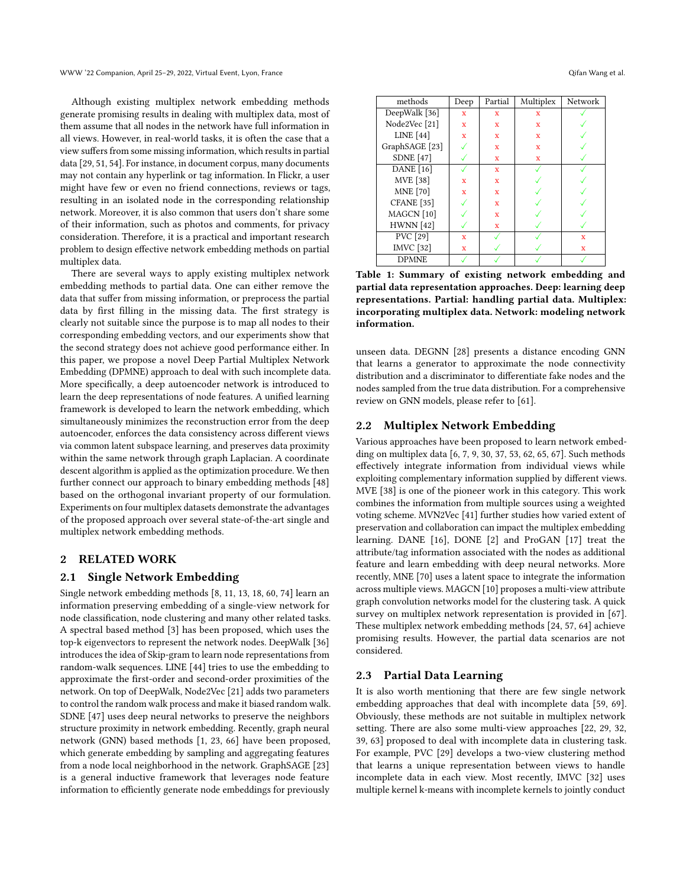Although existing multiplex network embedding methods generate promising results in dealing with multiplex data, most of them assume that all nodes in the network have full information in all views. However, in real-world tasks, it is often the case that a view suffers from some missing information, which results in partial data [\[29,](#page-8-19) [51,](#page-8-20) [54\]](#page-8-21). For instance, in document corpus, many documents may not contain any hyperlink or tag information. In Flickr, a user might have few or even no friend connections, reviews or tags, resulting in an isolated node in the corresponding relationship network. Moreover, it is also common that users don't share some of their information, such as photos and comments, for privacy consideration. Therefore, it is a practical and important research problem to design effective network embedding methods on partial multiplex data.

There are several ways to apply existing multiplex network embedding methods to partial data. One can either remove the data that suffer from missing information, or preprocess the partial data by first filling in the missing data. The first strategy is clearly not suitable since the purpose is to map all nodes to their corresponding embedding vectors, and our experiments show that the second strategy does not achieve good performance either. In this paper, we propose a novel Deep Partial Multiplex Network Embedding (DPMNE) approach to deal with such incomplete data. More specifically, a deep autoencoder network is introduced to learn the deep representations of node features. A unified learning framework is developed to learn the network embedding, which simultaneously minimizes the reconstruction error from the deep autoencoder, enforces the data consistency across different views via common latent subspace learning, and preserves data proximity within the same network through graph Laplacian. A coordinate descent algorithm is applied as the optimization procedure. We then further connect our approach to binary embedding methods [\[48\]](#page-8-22) based on the orthogonal invariant property of our formulation. Experiments on four multiplex datasets demonstrate the advantages of the proposed approach over several state-of-the-art single and multiplex network embedding methods.

# 2 RELATED WORK

# 2.1 Single Network Embedding

Single network embedding methods [\[8,](#page-8-23) [11,](#page-8-24) [13,](#page-8-25) [18,](#page-8-26) [60,](#page-8-27) [74\]](#page-9-6) learn an information preserving embedding of a single-view network for node classification, node clustering and many other related tasks. A spectral based method [\[3\]](#page-8-28) has been proposed, which uses the top-k eigenvectors to represent the network nodes. DeepWalk [\[36\]](#page-8-9) introduces the idea of Skip-gram to learn node representations from random-walk sequences. LINE [\[44\]](#page-8-29) tries to use the embedding to approximate the first-order and second-order proximities of the network. On top of DeepWalk, Node2Vec [\[21\]](#page-8-30) adds two parameters to control the random walk process and make it biased random walk. SDNE [\[47\]](#page-8-31) uses deep neural networks to preserve the neighbors structure proximity in network embedding. Recently, graph neural network (GNN) based methods [\[1,](#page-8-32) [23,](#page-8-33) [66\]](#page-9-7) have been proposed, which generate embedding by sampling and aggregating features from a node local neighborhood in the network. GraphSAGE [\[23\]](#page-8-33) is a general inductive framework that leverages node feature information to efficiently generate node embeddings for previously

<span id="page-1-0"></span>

| methods                  | Deep         | Partial      | Multiplex    | <b>Network</b> |
|--------------------------|--------------|--------------|--------------|----------------|
| DeepWalk [36]            | $\mathbf x$  | x            | x            |                |
| Node2Vec <sup>[21]</sup> | $\mathbf{x}$ | x            | x            |                |
| <b>LINE</b> [44]         | $\mathbf{x}$ | x            | $\mathbf{x}$ |                |
| GraphSAGE [23]           |              | $\mathbf{x}$ | $\mathbf{x}$ |                |
| <b>SDNE</b> [47]         |              | x            | x            |                |
| <b>DANE</b> [16]         |              | x            |              |                |
| <b>MVE</b> [38]          | $\mathbf x$  | x            |              |                |
| <b>MNE</b> [70]          | x            |              |              |                |

| Table 1: Summary of existing network embedding and          |
|-------------------------------------------------------------|
| partial data representation approaches. Deep: learning deep |
| representations. Partial: handling partial data. Multiplex: |
| incorporating multiplex data. Network: modeling network     |
| information.                                                |

PVC [\[29\]](#page-8-19)  $x \times y$   $\sqrt{x}$  x IMVC [\[32\]](#page-8-16)  $x \times y$   $\sqrt{x}$ 

unseen data. DEGNN [\[28\]](#page-8-37) presents a distance encoding GNN that learns a generator to approximate the node connectivity distribution and a discriminator to differentiate fake nodes and the nodes sampled from the true data distribution. For a comprehensive review on GNN models, please refer to [\[61\]](#page-9-8).

# 2.2 Multiplex Network Embedding

> > DPMNE

CFANE [\[35\]](#page-8-35)  $\vert \checkmark \vert$  x MAGCN  $[10]$   $\sqrt{2}$  x HWNN  $[42]$   $\sqrt{2}$  x

Various approaches have been proposed to learn network embedding on multiplex data [\[6,](#page-8-38) [7,](#page-8-39) [9,](#page-8-40) [30,](#page-8-41) [37,](#page-8-42) [53,](#page-8-43) [62,](#page-9-9) [65,](#page-9-10) [67\]](#page-9-11). Such methods effectively integrate information from individual views while exploiting complementary information supplied by different views. MVE [\[38\]](#page-8-34) is one of the pioneer work in this category. This work combines the information from multiple sources using a weighted voting scheme. MVN2Vec [\[41\]](#page-8-44) further studies how varied extent of preservation and collaboration can impact the multiplex embedding learning. DANE [\[16\]](#page-8-1), DONE [\[2\]](#page-8-45) and ProGAN [\[17\]](#page-8-46) treat the attribute/tag information associated with the nodes as additional feature and learn embedding with deep neural networks. More recently, MNE [\[70\]](#page-9-3) uses a latent space to integrate the information across multiple views. MAGCN [\[10\]](#page-8-36) proposes a multi-view attribute graph convolution networks model for the clustering task. A quick survey on multiplex network representation is provided in [\[67\]](#page-9-11). These multiplex network embedding methods [\[24,](#page-8-47) [57,](#page-8-48) [64\]](#page-9-12) achieve promising results. However, the partial data scenarios are not considered.

# 2.3 Partial Data Learning

It is also worth mentioning that there are few single network embedding approaches that deal with incomplete data [\[59,](#page-8-3) [69\]](#page-9-13). Obviously, these methods are not suitable in multiplex network setting. There are also some multi-view approaches [\[22,](#page-8-49) [29,](#page-8-19) [32,](#page-8-16) [39,](#page-8-50) [63\]](#page-9-14) proposed to deal with incomplete data in clustering task. For example, PVC [\[29\]](#page-8-19) develops a two-view clustering method that learns a unique representation between views to handle incomplete data in each view. Most recently, IMVC [\[32\]](#page-8-16) uses multiple kernel k-means with incomplete kernels to jointly conduct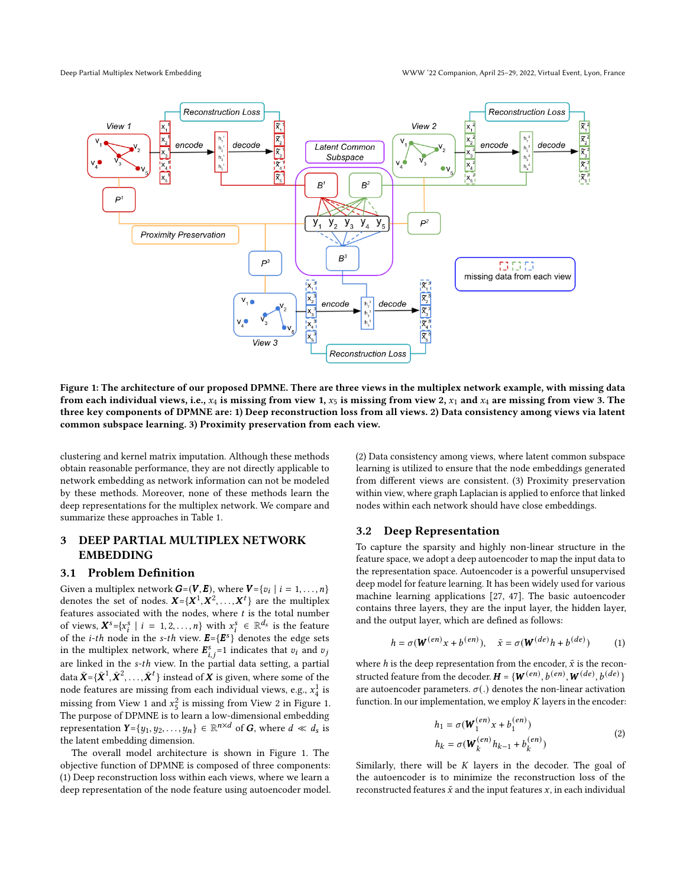<span id="page-2-0"></span>

Figure 1: The architecture of our proposed DPMNE. There are three views in the multiplex network example, with missing data from each individual views, i.e.,  $x_4$  is missing from view 1,  $x_5$  is missing from view 2,  $x_1$  and  $x_4$  are missing from view 3. The three key components of DPMNE are: 1) Deep reconstruction loss from all views. 2) Data consistency among views via latent common subspace learning. 3) Proximity preservation from each view.

clustering and kernel matrix imputation. Although these methods obtain reasonable performance, they are not directly applicable to network embedding as network information can not be modeled by these methods. Moreover, none of these methods learn the deep representations for the multiplex network. We compare and summarize these approaches in Table [1.](#page-1-0)

# 3 DEEP PARTIAL MULTIPLEX NETWORK EMBEDDING

# 3.1 Problem Definition

Given a multiplex network  $G=(V, E)$ , where  $V = \{v_i \mid i = 1, ..., n\}$ denotes the set of nodes.  $X = \{X^1, X^2, ..., X^t\}$  are the multiplex features associated with the nodes, where  $t$  is the total number of views,  $X^s = \{x_i^s \mid i = 1, 2, ..., n\}$  with  $x_i^s \in \mathbb{R}^{d_s}$  is the feature of the *i-th* node in the *s-th* view.  $\mathbf{E} = {\{\mathbf{E}^s\}}^t$  denotes the edge sets in the multiplex network, where  $\mathbf{E}_{i,j}^s = 1$  indicates that  $v_i$  and  $v_j$ are linked in the  $s$ -th view. In the partial data setting, a partial data  $\bar{\pmb{X}}$  ={ $\bar{\pmb{X}}^1$ ,  $\bar{\pmb{X}}^2$ ,...,  $\bar{\pmb{X}}^t$ } instead of  $\pmb{X}$  is given, where some of the node features are missing from each individual views, e.g.,  $x_4^1$  is missing from View 1 and  $x_5^2$  is missing from View 2 in Figure [1.](#page-2-0) The purpose of DPMNE is to learn a low-dimensional embedding representation  $Y = \{y_1, y_2, \ldots, y_n\} \in \mathbb{R}^{n \times d}$  of G, where  $d \ll d_s$  is the latent embedding dimension.

The overall model architecture is shown in Figure [1.](#page-2-0) The objective function of DPMNE is composed of three components: (1) Deep reconstruction loss within each views, where we learn a deep representation of the node feature using autoencoder model. (2) Data consistency among views, where latent common subspace learning is utilized to ensure that the node embeddings generated from different views are consistent. (3) Proximity preservation within view, where graph Laplacian is applied to enforce that linked nodes within each network should have close embeddings.

# 3.2 Deep Representation

To capture the sparsity and highly non-linear structure in the feature space, we adopt a deep autoencoder to map the input data to the representation space. Autoencoder is a powerful unsupervised deep model for feature learning. It has been widely used for various machine learning applications [\[27,](#page-8-51) [47\]](#page-8-31). The basic autoencoder contains three layers, they are the input layer, the hidden layer, and the output layer, which are defined as follows:

$$
h = \sigma(\mathbf{W}^{(en)}x + b^{(en)}), \quad \tilde{x} = \sigma(\mathbf{W}^{(de)}h + b^{(de)})
$$
 (1)

where h is the deep representation from the encoder,  $\tilde{x}$  is the reconstructed feature from the decoder.  $\boldsymbol{H} = \{ \boldsymbol{W}^{(en)}, b^{(en)}, \boldsymbol{W}^{(de)}, b^{(de)} \}$ are autoencoder parameters.  $\sigma(.)$  denotes the non-linear activation function. In our implementation, we employ  $K$  layers in the encoder:

$$
h_1 = \sigma(\mathbf{W}_1^{(en)} x + b_1^{(en)})
$$
  
\n
$$
h_k = \sigma(\mathbf{W}_k^{(en)} h_{k-1} + b_k^{(en)})
$$
\n(2)

Similarly, there will be  $K$  layers in the decoder. The goal of the autoencoder is to minimize the reconstruction loss of the reconstructed features  $\tilde{x}$  and the input features  $x$ , in each individual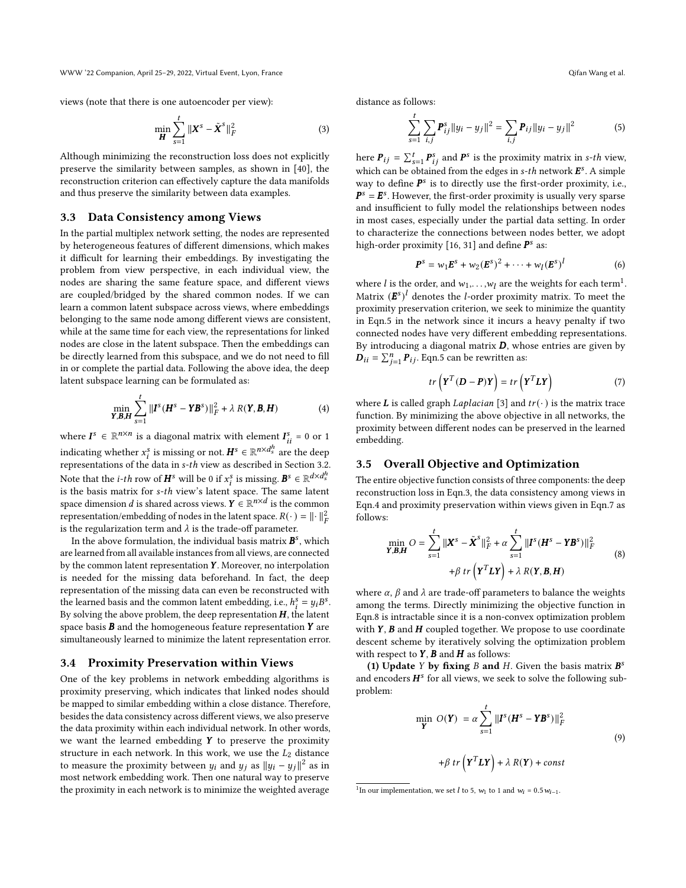WWW '22 Companion, April 25–29, 2022, Virtual Event, Lyon, France Qifan Wang et al.

views (note that there is one autoencoder per view):

<span id="page-3-2"></span>
$$
\min_{\boldsymbol{H}} \sum_{s=1}^{t} \|\boldsymbol{X}^{s} - \tilde{\boldsymbol{X}}^{s}\|_{F}^{2}
$$
 (3)

Although minimizing the reconstruction loss does not explicitly preserve the similarity between samples, as shown in [\[40\]](#page-8-52), the reconstruction criterion can effectively capture the data manifolds and thus preserve the similarity between data examples.

#### 3.3 Data Consistency among Views

In the partial multiplex network setting, the nodes are represented by heterogeneous features of different dimensions, which makes it difficult for learning their embeddings. By investigating the problem from view perspective, in each individual view, the nodes are sharing the same feature space, and different views are coupled/bridged by the shared common nodes. If we can learn a common latent subspace across views, where embeddings belonging to the same node among different views are consistent, while at the same time for each view, the representations for linked nodes are close in the latent subspace. Then the embeddings can be directly learned from this subspace, and we do not need to fill in or complete the partial data. Following the above idea, the deep latent subspace learning can be formulated as:

$$
\min_{\mathbf{Y},\mathbf{B},\mathbf{H}} \sum_{s=1}^{t} \|\mathbf{I}^s(\mathbf{H}^s - \mathbf{Y}\mathbf{B}^s)\|_F^2 + \lambda R(\mathbf{Y}, \mathbf{B}, \mathbf{H})
$$
(4)

<span id="page-3-3"></span>where  $I^s \in \mathbb{R}^{n \times n}$  is a diagonal matrix with element  $I^s_{ii} = 0$  or 1 indicating whether  $x_i^s$  is missing or not.  $\bm{H}^s \in \mathbb{R}^{n \times d_s^h}$  are the deep representations of the data in s-th view as described in Section 3.2. Note that the *i*-*th* row of  $\boldsymbol{H}^s$  will be 0 if  $x_i^s$  is missing.  $\boldsymbol{B}^s \in \mathbb{R}^{d \times d_s^h}$ is the basis matrix for s-th view's latent space. The same latent space dimension  $d$  is shared across views.  $\boldsymbol{Y} \in \mathbb{R}^{n \times d}$  is the common representation/embedding of nodes in the latent space.  $R(\cdot) = ||\cdot||_F^2$ is the regularization term and  $\lambda$  is the trade-off parameter.

In the above formulation, the individual basis matrix  $\boldsymbol{B}^s$ , which are learned from all available instances from all views, are connected by the common latent representation  $Y$ . Moreover, no interpolation is needed for the missing data beforehand. In fact, the deep representation of the missing data can even be reconstructed with the learned basis and the common latent embedding, i.e.,  $h_i^s = y_i B^s$ . By solving the above problem, the deep representation  $H$ , the latent space basis  $\bm{B}$  and the homogeneous feature representation  $\bm{Y}$  are simultaneously learned to minimize the latent representation error.

#### 3.4 Proximity Preservation within Views

One of the key problems in network embedding algorithms is proximity preserving, which indicates that linked nodes should be mapped to similar embedding within a close distance. Therefore, besides the data consistency across different views, we also preserve the data proximity within each individual network. In other words, we want the learned embedding  $Y$  to preserve the proximity structure in each network. In this work, we use the  $L_2$  distance to measure the proximity between  $y_i$  and  $y_j$  as  $||y_i - y_j||^2$  as in most network embedding work. Then one natural way to preserve the proximity in each network is to minimize the weighted average

distance as follows:

<span id="page-3-1"></span>
$$
\sum_{s=1}^{t} \sum_{i,j} P_{ij}^{s} ||y_i - y_j||^2 = \sum_{i,j} P_{ij} ||y_i - y_j||^2
$$
 (5)

here  ${\bm P}_{ij} = \sum_{s=1}^t {\bm P}_{ij}^s$  and  ${\bm P}^s$  is the proximity matrix in s-th view, which can be obtained from the edges in s-th network  $\bm{E}^s$ . A simple way to define  $P^s$  is to directly use the first-order proximity, i.e.,  $P^s = E^s$ . However, the first-order proximity is usually very sparse and insufficient to fully model the relationships between nodes in most cases, especially under the partial data setting. In order to characterize the connections between nodes better, we adopt high-order proximity [\[16,](#page-8-1) [31\]](#page-8-2) and define  $\bm{P}^s$  as:

$$
\bm{P}^{s} = w_{1}\bm{E}^{s} + w_{2}(\bm{E}^{s})^{2} + \cdots + w_{l}(\bm{E}^{s})^{l}
$$
 (6)

where  $l$  is the order, and  $w_1, \ldots, w_l$  $w_1, \ldots, w_l$  $w_1, \ldots, w_l$  are the weights for each term<sup>1</sup>. Matrix  $(E^s)^l$  denotes the *l*-order proximity matrix. To meet the proximity preservation criterion, we seek to minimize the quantity in Eqn[.5](#page-3-1) in the network since it incurs a heavy penalty if two connected nodes have very different embedding representations. By introducing a diagonal matrix  $D$ , whose entries are given by  $\vec{D}_{ii} = \sum_{j=1}^{n} P_{ij}$ . Eqn[.5](#page-3-1) can be rewritten as:

$$
tr\left(\mathbf{Y}^T(\mathbf{D} - \mathbf{P})\mathbf{Y}\right) = tr\left(\mathbf{Y}^T L \mathbf{Y}\right) \tag{7}
$$

<span id="page-3-4"></span>where **L** is called graph *Laplacian* [\[3\]](#page-8-28) and  $tr(\cdot)$  is the matrix trace function. By minimizing the above objective in all networks, the proximity between different nodes can be preserved in the learned embedding.

## 3.5 Overall Objective and Optimization

The entire objective function consists of three components: the deep reconstruction loss in Eqn[.3,](#page-3-2) the data consistency among views in Eqn[.4](#page-3-3) and proximity preservation within views given in Eqn[.7](#page-3-4) as follows:

<span id="page-3-5"></span>
$$
\min_{\mathbf{Y}, \mathbf{B}, \mathbf{H}} O = \sum_{s=1}^{t} \|\mathbf{X}^{s} - \tilde{\mathbf{X}}^{s}\|_{F}^{2} + \alpha \sum_{s=1}^{t} \|\mathbf{I}^{s}(\mathbf{H}^{s} - \mathbf{Y}\mathbf{B}^{s})\|_{F}^{2}
$$
\n
$$
+ \beta \operatorname{tr}\left(\mathbf{Y}^{T}\mathbf{L}\mathbf{Y}\right) + \lambda R(\mathbf{Y}, \mathbf{B}, \mathbf{H})
$$
\n(8)

where  $\alpha$ ,  $\beta$  and  $\lambda$  are trade-off parameters to balance the weights among the terms. Directly minimizing the objective function in Eqn[.8](#page-3-5) is intractable since it is a non-convex optimization problem with  $Y$ ,  $B$  and  $H$  coupled together. We propose to use coordinate descent scheme by iteratively solving the optimization problem with respect to  $Y$ ,  $B$  and  $H$  as follows:

(1) Update Y by fixing B and H. Given the basis matrix  $B^s$ and encoders  $H^s$  for all views, we seek to solve the following subproblem:

$$
\min_{\mathbf{Y}} O(\mathbf{Y}) = \alpha \sum_{s=1}^{t} \|\mathbf{I}^{s} (\mathbf{H}^{s} - \mathbf{Y} \mathbf{B}^{s})\|_{F}^{2}
$$
  
+  $\beta \text{ tr } (\mathbf{Y}^{T} \mathbf{L} \mathbf{Y}) + \lambda R(\mathbf{Y}) + const$  (9)

<span id="page-3-6"></span><span id="page-3-0"></span><sup>&</sup>lt;sup>1</sup>In our implementation, we set *l* to 5,  $w_1$  to 1 and  $w_i = 0.5w_{i-1}$ .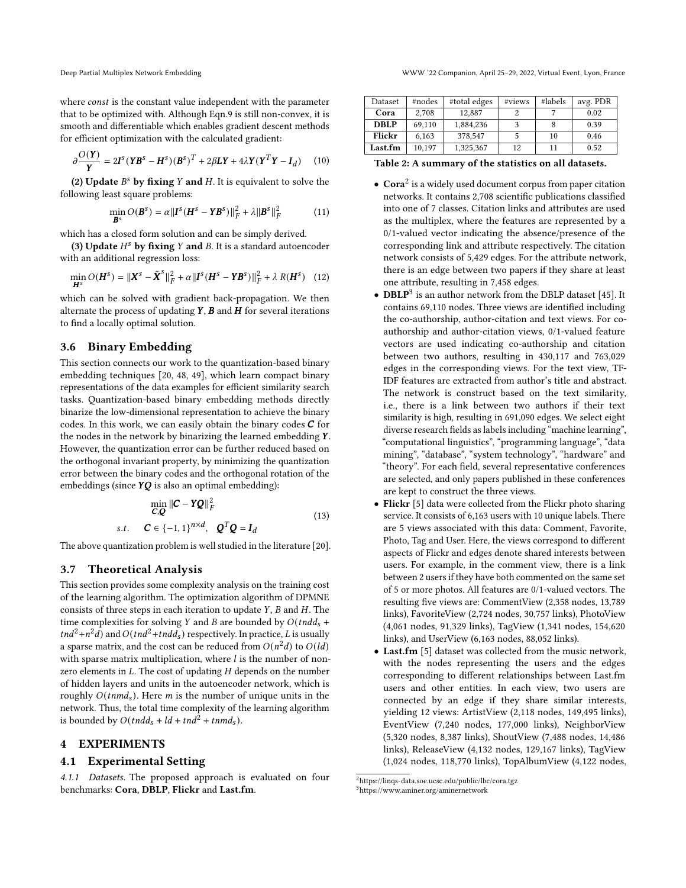where const is the constant value independent with the parameter that to be optimized with. Although Eqn[.9](#page-3-6) is still non-convex, it is smooth and differentiable which enables gradient descent methods for efficient optimization with the calculated gradient:

$$
\partial \frac{O(Y)}{Y} = 2I^s (YB^s - H^s)(B^s)^T + 2\beta LY + 4\lambda Y (Y^T Y - I_d)
$$
 (10)

(2) Update  $B^s$  by fixing Y and H. It is equivalent to solve the following least square problems:

$$
\min_{\mathbf{B}^s} O(\mathbf{B}^s) = \alpha ||\mathbf{I}^s (\mathbf{H}^s - \mathbf{Y} \mathbf{B}^s)||_F^2 + \lambda ||\mathbf{B}^s||_F^2 \tag{11}
$$

which has a closed form solution and can be simply derived.

(3) Update  $H^s$  by fixing Y and B. It is a standard autoencoder with an additional regression loss:

$$
\min_{\mathbf{H}^s} O(\mathbf{H}^s) = \|\mathbf{X}^s - \tilde{\mathbf{X}}^s\|_F^2 + \alpha \|\mathbf{I}^s (\mathbf{H}^s - \mathbf{Y} \mathbf{B}^s)\|_F^2 + \lambda R(\mathbf{H}^s) \quad (12)
$$

which can be solved with gradient back-propagation. We then alternate the process of updating  $Y$ ,  $B$  and  $H$  for several iterations to find a locally optimal solution.

# 3.6 Binary Embedding

This section connects our work to the quantization-based binary embedding techniques [\[20,](#page-8-53) [48,](#page-8-22) [49\]](#page-8-54), which learn compact binary representations of the data examples for efficient similarity search tasks. Quantization-based binary embedding methods directly binarize the low-dimensional representation to achieve the binary codes. In this work, we can easily obtain the binary codes  $C$  for the nodes in the network by binarizing the learned embedding  $Y$ . However, the quantization error can be further reduced based on the orthogonal invariant property, by minimizing the quantization error between the binary codes and the orthogonal rotation of the embeddings (since  $YQ$  is also an optimal embedding):

$$
\min_{\mathbf{C},\mathbf{Q}} \|\mathbf{C} - \mathbf{Y}\mathbf{Q}\|_F^2
$$
  
s.t. 
$$
\mathbf{C} \in \{-1, 1\}^{n \times d}, \quad \mathbf{Q}^T \mathbf{Q} = \mathbf{I}_d
$$
 (13)

<span id="page-4-3"></span>The above quantization problem is well studied in the literature [\[20\]](#page-8-53).

# 3.7 Theoretical Analysis

This section provides some complexity analysis on the training cost of the learning algorithm. The optimization algorithm of DPMNE consists of three steps in each iteration to update  $Y$ ,  $B$  and  $H$ . The time complexities for solving Y and B are bounded by  $O(tn d_s +$  $t nd^2 + n^2 d$ ) and  $O(t nd^2 + t nd d_s)$  respectively. In practice, L is usually a sparse matrix, and the cost can be reduced from  $O(n^2d)$  to  $O(dd)$ with sparse matrix multiplication, where  $l$  is the number of nonzero elements in  $L$ . The cost of updating  $H$  depends on the number of hidden layers and units in the autoencoder network, which is roughly  $O(t n m d<sub>s</sub>)$ . Here *m* is the number of unique units in the network. Thus, the total time complexity of the learning algorithm is bounded by  $O(tndd_s + ld + tnd^2 + tnmd_s)$ .

# 4 EXPERIMENTS

# 4.1 Experimental Setting

4.1.1 Datasets. The proposed approach is evaluated on four benchmarks: Cora, DBLP, Flickr and Last.fm.

<span id="page-4-2"></span>

| Dataset     | #nodes | #total edges | #views | #labels | avg. PDR |
|-------------|--------|--------------|--------|---------|----------|
| Cora        | 2.708  | 12.887       |        |         | 0.02     |
| <b>DBLP</b> | 69.110 | 1,884,236    |        |         | 0.39     |
| Flickr      | 6,163  | 378,547      |        | 10      | 0.46     |
| Last.fm     | 10,197 | 1,325,367    | 12     | 11      | 0.52     |

Table 2: A summary of the statistics on all datasets.

- $\bullet$  Cora<sup>[2](#page-4-0)</sup> is a widely used document corpus from paper citation networks. It contains 2,708 scientific publications classified into one of 7 classes. Citation links and attributes are used as the multiplex, where the features are represented by a 0/1-valued vector indicating the absence/presence of the corresponding link and attribute respectively. The citation network consists of 5,429 edges. For the attribute network, there is an edge between two papers if they share at least one attribute, resulting in 7,458 edges.
- $\bullet$  DBLP<sup>[3](#page-4-1)</sup> is an author network from the DBLP dataset [\[45\]](#page-8-55). It contains 69,110 nodes. Three views are identified including the co-authorship, author-citation and text views. For coauthorship and author-citation views, 0/1-valued feature vectors are used indicating co-authorship and citation between two authors, resulting in 430,117 and 763,029 edges in the corresponding views. For the text view, TF-IDF features are extracted from author's title and abstract. The network is construct based on the text similarity, i.e., there is a link between two authors if their text similarity is high, resulting in 691,090 edges. We select eight diverse research fields as labels including "machine learning", "computational linguistics", "programming language", "data mining", "database", "system technology", "hardware" and "theory". For each field, several representative conferences are selected, and only papers published in these conferences are kept to construct the three views.
- Flickr [\[5\]](#page-8-15) data were collected from the Flickr photo sharing service. It consists of 6,163 users with 10 unique labels. There are 5 views associated with this data: Comment, Favorite, Photo, Tag and User. Here, the views correspond to different aspects of Flickr and edges denote shared interests between users. For example, in the comment view, there is a link between 2 users if they have both commented on the same set of 5 or more photos. All features are 0/1-valued vectors. The resulting five views are: CommentView (2,358 nodes, 13,789 links), FavoriteView (2,724 nodes, 30,757 links), PhotoView (4,061 nodes, 91,329 links), TagView (1,341 nodes, 154,620 links), and UserView (6,163 nodes, 88,052 links).
- Last.fm [\[5\]](#page-8-15) dataset was collected from the music network, with the nodes representing the users and the edges corresponding to different relationships between Last.fm users and other entities. In each view, two users are connected by an edge if they share similar interests, yielding 12 views: ArtistView (2,118 nodes, 149,495 links), EventView (7,240 nodes, 177,000 links), NeighborView (5,320 nodes, 8,387 links), ShoutView (7,488 nodes, 14,486 links), ReleaseView (4,132 nodes, 129,167 links), TagView (1,024 nodes, 118,770 links), TopAlbumView (4,122 nodes,

<span id="page-4-0"></span><sup>2</sup><https://linqs-data.soe.ucsc.edu/public/lbc/cora.tgz>

<span id="page-4-1"></span><sup>3</sup><https://www.aminer.org/aminernetwork>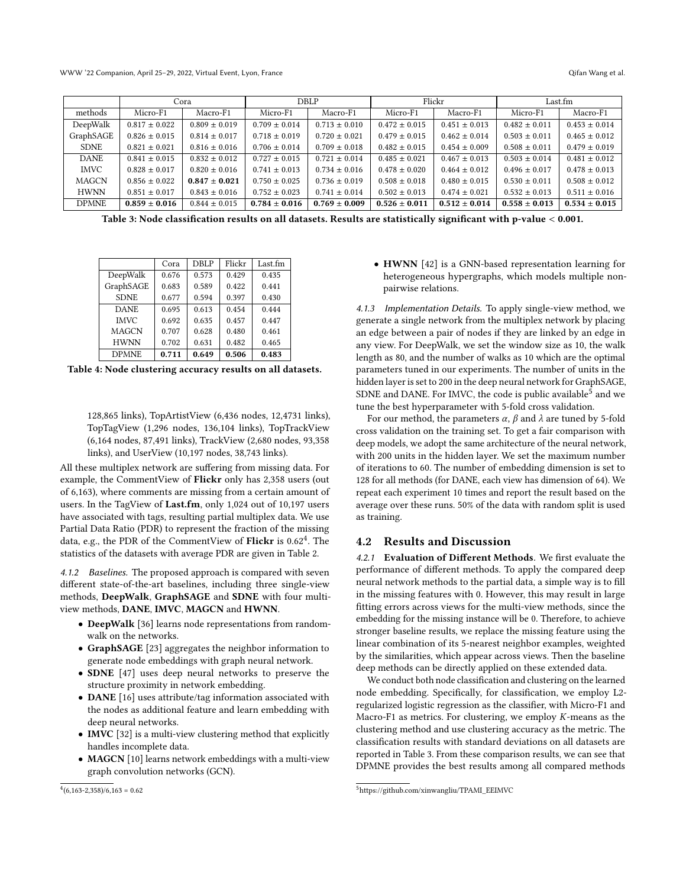WWW '22 Companion, April 25–29, 2022, Virtual Event, Lyon, France Qifan Wang et al. Qifan Wang et al.

<span id="page-5-2"></span>

|              |                   | Cora              | DBLP              |                   | Flickr            |                   | Last.fm           |                   |
|--------------|-------------------|-------------------|-------------------|-------------------|-------------------|-------------------|-------------------|-------------------|
| methods      | Micro-F1          | Macro-F1          | Micro-F1          | Macro-F1          | Micro-F1          | Macro-F1          | Micro-F1          | Macro-F1          |
| DeepWalk     | $0.817 \pm 0.022$ | $0.809 \pm 0.019$ | $0.709 \pm 0.014$ | $0.713 \pm 0.010$ | $0.472 \pm 0.015$ | $0.451 \pm 0.013$ | $0.482 \pm 0.011$ | $0.453 \pm 0.014$ |
| GraphSAGE    | $0.826 \pm 0.015$ | $0.814 \pm 0.017$ | $0.718 \pm 0.019$ | $0.720 \pm 0.021$ | $0.479 \pm 0.015$ | $0.462 \pm 0.014$ | $0.503 \pm 0.011$ | $0.465 \pm 0.012$ |
| <b>SDNE</b>  | $0.821 \pm 0.021$ | $0.816 \pm 0.016$ | $0.706 \pm 0.014$ | $0.709 \pm 0.018$ | $0.482 \pm 0.015$ | $0.454 \pm 0.009$ | $0.508 \pm 0.011$ | $0.479 \pm 0.019$ |
| <b>DANE</b>  | $0.841 \pm 0.015$ | $0.832 \pm 0.012$ | $0.727 \pm 0.015$ | $0.721 \pm 0.014$ | $0.485 \pm 0.021$ | $0.467 \pm 0.013$ | $0.503 \pm 0.014$ | $0.481 \pm 0.012$ |
| <b>IMVC</b>  | $0.828 \pm 0.017$ | $0.820 \pm 0.016$ | $0.741 \pm 0.013$ | $0.734 \pm 0.016$ | $0.478 \pm 0.020$ | $0.464 \pm 0.012$ | $0.496 \pm 0.017$ | $0.478 \pm 0.013$ |
| <b>MAGCN</b> | $0.856 \pm 0.022$ | $0.847 \pm 0.021$ | $0.750 \pm 0.025$ | $0.736 \pm 0.019$ | $0.508 \pm 0.018$ | $0.480 \pm 0.015$ | $0.530 \pm 0.011$ | $0.508 \pm 0.012$ |
| <b>HWNN</b>  | $0.851 \pm 0.017$ | $0.843 \pm 0.016$ | $0.752 \pm 0.023$ | $0.741 \pm 0.014$ | $0.502 \pm 0.013$ | $0.474 \pm 0.021$ | $0.532 \pm 0.013$ | $0.511 \pm 0.016$ |
| <b>DPMNE</b> | $0.859 \pm 0.016$ | $0.844 \pm 0.015$ | $0.784 \pm 0.016$ | $0.769 \pm 0.009$ | $0.526 \pm 0.011$ | $0.512 \pm 0.014$ | $0.558 \pm 0.013$ | $0.534 \pm 0.015$ |

Table 3: Node classification results on all datasets. Results are statistically significant with p-value < 0.001.

<span id="page-5-3"></span>

|              | Cora  | <b>DBLP</b> | Flickr | Last.fm |
|--------------|-------|-------------|--------|---------|
| DeepWalk     | 0.676 | 0.573       | 0.429  | 0.435   |
| GraphSAGE    | 0.683 | 0.589       | 0.422  | 0.441   |
| <b>SDNE</b>  | 0.677 | 0.594       | 0.397  | 0.430   |
| <b>DANE</b>  | 0.695 | 0.613       | 0.454  | 0.444   |
| <b>IMVC</b>  | 0.692 | 0.635       | 0.457  | 0.447   |
| <b>MAGCN</b> | 0.707 | 0.628       | 0.480  | 0.461   |
| <b>HWNN</b>  | 0.702 | 0.631       | 0.482  | 0.465   |
| <b>DPMNE</b> | 0.711 | 0.649       | 0.506  | 0.483   |

Table 4: Node clustering accuracy results on all datasets.

128,865 links), TopArtistView (6,436 nodes, 12,4731 links), TopTagView (1,296 nodes, 136,104 links), TopTrackView (6,164 nodes, 87,491 links), TrackView (2,680 nodes, 93,358 links), and UserView (10,197 nodes, 38,743 links).

All these multiplex network are suffering from missing data. For example, the CommentView of Flickr only has 2,358 users (out of 6,163), where comments are missing from a certain amount of users. In the TagView of Last.fm, only 1,024 out of 10,197 users have associated with tags, resulting partial multiplex data. We use Partial Data Ratio (PDR) to represent the fraction of the missing data, e.g., the PDR of the CommentView of Flickr is  $0.62^4$  $0.62^4$ . The statistics of the datasets with average PDR are given in Table [2.](#page-4-2)

4.1.2 Baselines. The proposed approach is compared with seven different state-of-the-art baselines, including three single-view methods, DeepWalk, GraphSAGE and SDNE with four multiview methods, DANE, IMVC, MAGCN and HWNN.

- DeepWalk [\[36\]](#page-8-9) learns node representations from randomwalk on the networks.
- GraphSAGE [\[23\]](#page-8-33) aggregates the neighbor information to generate node embeddings with graph neural network.
- SDNE [\[47\]](#page-8-31) uses deep neural networks to preserve the structure proximity in network embedding.
- DANE [\[16\]](#page-8-1) uses attribute/tag information associated with the nodes as additional feature and learn embedding with deep neural networks.
- IMVC [\[32\]](#page-8-16) is a multi-view clustering method that explicitly handles incomplete data.
- MAGCN [\[10\]](#page-8-36) learns network embeddings with a multi-view graph convolution networks (GCN).

<span id="page-5-0"></span> $^{4}(6,163-2,358)/6,163=0.62$ 

• HWNN [\[42\]](#page-8-10) is a GNN-based representation learning for heterogeneous hypergraphs, which models multiple nonpairwise relations.

4.1.3 Implementation Details. To apply single-view method, we generate a single network from the multiplex network by placing an edge between a pair of nodes if they are linked by an edge in any view. For DeepWalk, we set the window size as 10, the walk length as 80, and the number of walks as 10 which are the optimal parameters tuned in our experiments. The number of units in the hidden layer is set to 200 in the deep neural network for GraphSAGE, SDNE and DANE. For IMVC, the code is public available<sup>[5](#page-5-1)</sup> and we tune the best hyperparameter with 5-fold cross validation.

For our method, the parameters  $\alpha$ ,  $\beta$  and  $\lambda$  are tuned by 5-fold cross validation on the training set. To get a fair comparison with deep models, we adopt the same architecture of the neural network, with 200 units in the hidden layer. We set the maximum number of iterations to 60. The number of embedding dimension is set to 128 for all methods (for DANE, each view has dimension of 64). We repeat each experiment 10 times and report the result based on the average over these runs. 50% of the data with random split is used as training.

## 4.2 Results and Discussion

4.2.1 Evaluation of Different Methods. We first evaluate the performance of different methods. To apply the compared deep neural network methods to the partial data, a simple way is to fill in the missing features with 0. However, this may result in large fitting errors across views for the multi-view methods, since the embedding for the missing instance will be 0. Therefore, to achieve stronger baseline results, we replace the missing feature using the linear combination of its 5-nearest neighbor examples, weighted by the similarities, which appear across views. Then the baseline deep methods can be directly applied on these extended data.

We conduct both node classification and clustering on the learned node embedding. Specifically, for classification, we employ L2 regularized logistic regression as the classifier, with Micro-F1 and Macro-F1 as metrics. For clustering, we employ  $K$ -means as the clustering method and use clustering accuracy as the metric. The classification results with standard deviations on all datasets are reported in Table [3.](#page-5-2) From these comparison results, we can see that DPMNE provides the best results among all compared methods

<span id="page-5-1"></span><sup>5</sup>[https://github.com/xinwangliu/TPAMI\\_EEIMVC](https://github.com/xinwangliu/TPAMI_EEIMVC)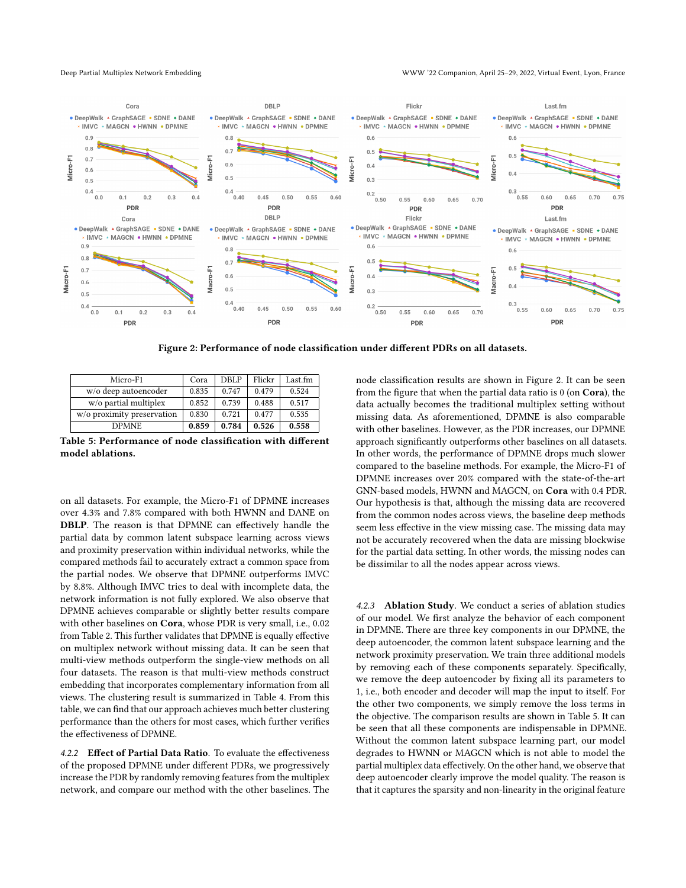<span id="page-6-0"></span>

Figure 2: Performance of node classification under different PDRs on all datasets.

<span id="page-6-1"></span>

| Micro-F1                   | Cora  | DBLP  | Flickr | Last.fm |
|----------------------------|-------|-------|--------|---------|
| w/o deep autoencoder       | 0.835 | 0.747 | 0.479  | 0.524   |
| w/o partial multiplex      | 0.852 | 0.739 | 0.488  | 0.517   |
| w/o proximity preservation | 0.830 | 0.721 | 0.477  | 0.535   |
| <b>DPMNE</b>               | 0.859 | 0.784 | 0.526  | 0.558   |

Table 5: Performance of node classification with different model ablations.

on all datasets. For example, the Micro-F1 of DPMNE increases over 4.3% and 7.8% compared with both HWNN and DANE on DBLP. The reason is that DPMNE can effectively handle the partial data by common latent subspace learning across views and proximity preservation within individual networks, while the compared methods fail to accurately extract a common space from the partial nodes. We observe that DPMNE outperforms IMVC by 8.8%. Although IMVC tries to deal with incomplete data, the network information is not fully explored. We also observe that DPMNE achieves comparable or slightly better results compare with other baselines on Cora, whose PDR is very small, i.e., 0.02 from Table [2.](#page-4-2) This further validates that DPMNE is equally effective on multiplex network without missing data. It can be seen that multi-view methods outperform the single-view methods on all four datasets. The reason is that multi-view methods construct embedding that incorporates complementary information from all views. The clustering result is summarized in Table [4.](#page-5-3) From this table, we can find that our approach achieves much better clustering performance than the others for most cases, which further verifies the effectiveness of DPMNE.

4.2.2 Effect of Partial Data Ratio. To evaluate the effectiveness of the proposed DPMNE under different PDRs, we progressively increase the PDR by randomly removing features from the multiplex network, and compare our method with the other baselines. The node classification results are shown in Figure [2.](#page-6-0) It can be seen from the figure that when the partial data ratio is 0 (on Cora), the data actually becomes the traditional multiplex setting without missing data. As aforementioned, DPMNE is also comparable with other baselines. However, as the PDR increases, our DPMNE approach significantly outperforms other baselines on all datasets. In other words, the performance of DPMNE drops much slower compared to the baseline methods. For example, the Micro-F1 of DPMNE increases over 20% compared with the state-of-the-art GNN-based models, HWNN and MAGCN, on Cora with 0.4 PDR. Our hypothesis is that, although the missing data are recovered from the common nodes across views, the baseline deep methods seem less effective in the view missing case. The missing data may not be accurately recovered when the data are missing blockwise for the partial data setting. In other words, the missing nodes can be dissimilar to all the nodes appear across views.

4.2.3 Ablation Study. We conduct a series of ablation studies of our model. We first analyze the behavior of each component in DPMNE. There are three key components in our DPMNE, the deep autoencoder, the common latent subspace learning and the network proximity preservation. We train three additional models by removing each of these components separately. Specifically, we remove the deep autoencoder by fixing all its parameters to 1, i.e., both encoder and decoder will map the input to itself. For the other two components, we simply remove the loss terms in the objective. The comparison results are shown in Table [5.](#page-6-1) It can be seen that all these components are indispensable in DPMNE. Without the common latent subspace learning part, our model degrades to HWNN or MAGCN which is not able to model the partial multiplex data effectively. On the other hand, we observe that deep autoencoder clearly improve the model quality. The reason is that it captures the sparsity and non-linearity in the original feature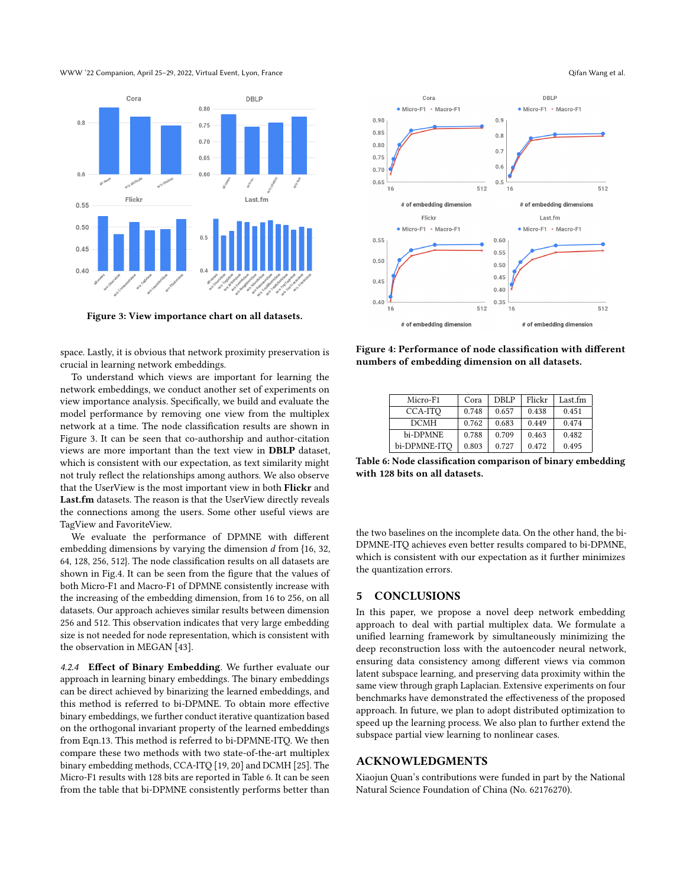WWW '22 Companion, April 25–29, 2022, Virtual Event, Lyon, France Qifan Wang et al. Qifan Wang et al.

<span id="page-7-0"></span>

Figure 3: View importance chart on all datasets.

space. Lastly, it is obvious that network proximity preservation is crucial in learning network embeddings.

To understand which views are important for learning the network embeddings, we conduct another set of experiments on view importance analysis. Specifically, we build and evaluate the model performance by removing one view from the multiplex network at a time. The node classification results are shown in Figure [3.](#page-7-0) It can be seen that co-authorship and author-citation views are more important than the text view in DBLP dataset, which is consistent with our expectation, as text similarity might not truly reflect the relationships among authors. We also observe that the UserView is the most important view in both Flickr and Last.fm datasets. The reason is that the UserView directly reveals the connections among the users. Some other useful views are TagView and FavoriteView.

We evaluate the performance of DPMNE with different embedding dimensions by varying the dimension  $d$  from  $\{16, 32,$ 64, 128, 256, 512}. The node classification results on all datasets are shown in Fig[.4.](#page-7-1) It can be seen from the figure that the values of both Micro-F1 and Macro-F1 of DPMNE consistently increase with the increasing of the embedding dimension, from 16 to 256, on all datasets. Our approach achieves similar results between dimension 256 and 512. This observation indicates that very large embedding size is not needed for node representation, which is consistent with the observation in MEGAN [\[43\]](#page-8-56).

4.2.4 Effect of Binary Embedding. We further evaluate our approach in learning binary embeddings. The binary embeddings can be direct achieved by binarizing the learned embeddings, and this method is referred to bi-DPMNE. To obtain more effective binary embeddings, we further conduct iterative quantization based on the orthogonal invariant property of the learned embeddings from Eqn[.13.](#page-4-3) This method is referred to bi-DPMNE-ITQ. We then compare these two methods with two state-of-the-art multiplex binary embedding methods, CCA-ITQ [\[19,](#page-8-57) [20\]](#page-8-53) and DCMH [\[25\]](#page-8-58). The Micro-F1 results with 128 bits are reported in Table [6.](#page-7-2) It can be seen from the table that bi-DPMNE consistently performs better than

<span id="page-7-1"></span>

Figure 4: Performance of node classification with different numbers of embedding dimension on all datasets.

<span id="page-7-2"></span>

| Micro-F1     | Cora  | DBLP  | Flickr | Last.fm |
|--------------|-------|-------|--------|---------|
| CCA-ITO      | 0.748 | 0.657 | 0.438  | 0.451   |
| <b>DCMH</b>  | 0.762 | 0.683 | 0.449  | 0.474   |
| bi-DPMNE     | 0.788 | 0.709 | 0.463  | 0.482   |
| bi-DPMNE-ITO | 0.803 | 0.727 | 0.472  | 0.495   |

Table 6: Node classification comparison of binary embedding with 128 bits on all datasets.

the two baselines on the incomplete data. On the other hand, the bi-DPMNE-ITQ achieves even better results compared to bi-DPMNE, which is consistent with our expectation as it further minimizes the quantization errors.

## 5 CONCLUSIONS

In this paper, we propose a novel deep network embedding approach to deal with partial multiplex data. We formulate a unified learning framework by simultaneously minimizing the deep reconstruction loss with the autoencoder neural network, ensuring data consistency among different views via common latent subspace learning, and preserving data proximity within the same view through graph Laplacian. Extensive experiments on four benchmarks have demonstrated the effectiveness of the proposed approach. In future, we plan to adopt distributed optimization to speed up the learning process. We also plan to further extend the subspace partial view learning to nonlinear cases.

# ACKNOWLEDGMENTS

Xiaojun Quan's contributions were funded in part by the National Natural Science Foundation of China (No. 62176270).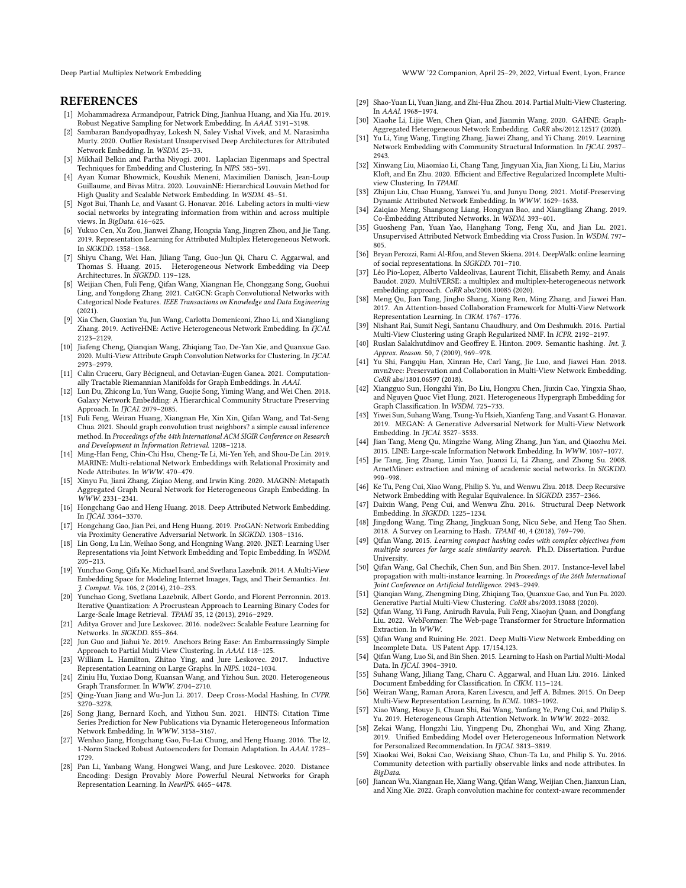Deep Partial Multiplex Network Embedding WWW '22 Companion, April 25–29, 2022, Virtual Event, Lyon, France

# **REFERENCES**

- <span id="page-8-32"></span>[1] Mohammadreza Armandpour, Patrick Ding, Jianhua Huang, and Xia Hu. 2019. Robust Negative Sampling for Network Embedding. In AAAI. 3191–3198.
- <span id="page-8-45"></span>[2] Sambaran Bandyopadhyay, Lokesh N, Saley Vishal Vivek, and M. Narasimha Murty. 2020. Outlier Resistant Unsupervised Deep Architectures for Attributed Network Embedding. In WSDM. 25–33.
- <span id="page-8-28"></span>[3] Mikhail Belkin and Partha Niyogi. 2001. Laplacian Eigenmaps and Spectral Techniques for Embedding and Clustering. In NIPS. 585–591.
- <span id="page-8-4"></span>[4] Ayan Kumar Bhowmick, Koushik Meneni, Maximilien Danisch, Jean-Loup Guillaume, and Bivas Mitra. 2020. LouvainNE: Hierarchical Louvain Method for High Quality and Scalable Network Embedding. In WSDM. 43–51.
- <span id="page-8-15"></span>[5] Ngot Bui, Thanh Le, and Vasant G. Honavar. 2016. Labeling actors in multi-view social networks by integrating information from within and across multiple views. In BigData. 616–625.
- <span id="page-8-38"></span>[6] Yukuo Cen, Xu Zou, Jianwei Zhang, Hongxia Yang, Jingren Zhou, and Jie Tang. 2019. Representation Learning for Attributed Multiplex Heterogeneous Network. In SIGKDD. 1358–1368.
- <span id="page-8-39"></span>[7] Shiyu Chang, Wei Han, Jiliang Tang, Guo-Jun Qi, Charu C. Aggarwal, and Thomas S. Huang. 2015. Heterogeneous Network Embedding via Deep Architectures. In SIGKDD. 119–128.
- <span id="page-8-23"></span>[8] Weijian Chen, Fuli Feng, Qifan Wang, Xiangnan He, Chonggang Song, Guohui Ling, and Yongdong Zhang. 2021. CatGCN: Graph Convolutional Networks with Categorical Node Features. IEEE Transactions on Knowledge and Data Engineering (2021).
- <span id="page-8-40"></span>[9] Xia Chen, Guoxian Yu, Jun Wang, Carlotta Domeniconi, Zhao Li, and Xiangliang Zhang. 2019. ActiveHNE: Active Heterogeneous Network Embedding. In IJCAI. 2123–2129.
- <span id="page-8-36"></span>[10] Jiafeng Cheng, Qianqian Wang, Zhiqiang Tao, De-Yan Xie, and Quanxue Gao. 2020. Multi-View Attribute Graph Convolution Networks for Clustering. In IJCAI. 2973–2979.
- <span id="page-8-24"></span>[11] Calin Cruceru, Gary Bécigneul, and Octavian-Eugen Ganea. 2021. Computationally Tractable Riemannian Manifolds for Graph Embeddings. In AAAI.
- <span id="page-8-5"></span>[12] Lun Du, Zhicong Lu, Yun Wang, Guojie Song, Yiming Wang, and Wei Chen. 2018. Galaxy Network Embedding: A Hierarchical Community Structure Preserving Approach. In *IICAI*. 2079-2085.
- <span id="page-8-25"></span>[13] Fuli Feng, Weiran Huang, Xiangnan He, Xin Xin, Qifan Wang, and Tat-Seng Chua. 2021. Should graph convolution trust neighbors? a simple causal inference method. In Proceedings of the 44th International ACM SIGIR Conference on Research and Development in Information Retrieval. 1208–1218.
- <span id="page-8-18"></span>[14] Ming-Han Feng, Chin-Chi Hsu, Cheng-Te Li, Mi-Yen Yeh, and Shou-De Lin. 2019. MARINE: Multi-relational Network Embeddings with Relational Proximity and Node Attributes. In WWW. 470–479.
- <span id="page-8-6"></span>[15] Xinyu Fu, Jiani Zhang, Ziqiao Meng, and Irwin King. 2020. MAGNN: Metapath Aggregated Graph Neural Network for Heterogeneous Graph Embedding. In WWW. 2331–2341.
- <span id="page-8-1"></span>[16] Hongchang Gao and Heng Huang. 2018. Deep Attributed Network Embedding. In IJCAI. 3364–3370.
- <span id="page-8-46"></span>[17] Hongchang Gao, Jian Pei, and Heng Huang. 2019. ProGAN: Network Embedding via Proximity Generative Adversarial Network. In SIGKDD. 1308–1316.
- <span id="page-8-26"></span>[18] Lin Gong, Lu Lin, Weihao Song, and Hongning Wang. 2020. JNET: Learning User Representations via Joint Network Embedding and Topic Embedding. In WSDM. 205–213.
- <span id="page-8-57"></span>[19] Yunchao Gong, Qifa Ke, Michael Isard, and Svetlana Lazebnik. 2014. A Multi-View Embedding Space for Modeling Internet Images, Tags, and Their Semantics. Int. J. Comput. Vis. 106, 2 (2014), 210–233.
- <span id="page-8-53"></span>[20] Yunchao Gong, Svetlana Lazebnik, Albert Gordo, and Florent Perronnin. 2013. Iterative Quantization: A Procrustean Approach to Learning Binary Codes for Large-Scale Image Retrieval. TPAMI 35, 12 (2013), 2916–2929.
- <span id="page-8-30"></span>[21] Aditya Grover and Jure Leskovec. 2016. node2vec: Scalable Feature Learning for Networks. In SIGKDD. 855–864.
- <span id="page-8-49"></span>[22] Jun Guo and Jiahui Ye. 2019. Anchors Bring Ease: An Embarrassingly Simple Approach to Partial Multi-View Clustering. In AAAI. 118–125.
- <span id="page-8-33"></span>[23] William L. Hamilton, Zhitao Ying, and Jure Leskovec. 2017. Inductive Representation Learning on Large Graphs. In NIPS. 1024–1034.
- <span id="page-8-47"></span>[24] Ziniu Hu, Yuxiao Dong, Kuansan Wang, and Yizhou Sun. 2020. Heterogeneous Graph Transformer. In WWW. 2704–2710.
- <span id="page-8-58"></span>[25] Qing-Yuan Jiang and Wu-Jun Li. 2017. Deep Cross-Modal Hashing. In CVPR. 3270–3278.
- <span id="page-8-7"></span>[26] Song Jiang, Bernard Koch, and Yizhou Sun. 2021. HINTS: Citation Time Series Prediction for New Publications via Dynamic Heterogeneous Information Network Embedding. In WWW. 3158–3167.
- <span id="page-8-51"></span>[27] Wenhao Jiang, Hongchang Gao, Fu-Lai Chung, and Heng Huang. 2016. The l2, 1-Norm Stacked Robust Autoencoders for Domain Adaptation. In AAAI. 1723– 1729.
- <span id="page-8-37"></span>[28] Pan Li, Yanbang Wang, Hongwei Wang, and Jure Leskovec. 2020. Distance Encoding: Design Provably More Powerful Neural Networks for Graph Representation Learning. In NeurIPS. 4465–4478.
- <span id="page-8-19"></span>[29] Shao-Yuan Li, Yuan Jiang, and Zhi-Hua Zhou. 2014. Partial Multi-View Clustering. In AAAI. 1968–1974.
- <span id="page-8-41"></span>[30] Xiaohe Li, Lijie Wen, Chen Qian, and Jianmin Wang. 2020. GAHNE: Graph-Aggregated Heterogeneous Network Embedding. CoRR abs/2012.12517 (2020).
- <span id="page-8-2"></span>[31] Yu Li, Ying Wang, Tingting Zhang, Jiawei Zhang, and Yi Chang. 2019. Learning Network Embedding with Community Structural Information. In IJCAI. 2937-2943.
- <span id="page-8-16"></span>[32] Xinwang Liu, Miaomiao Li, Chang Tang, Jingyuan Xia, Jian Xiong, Li Liu, Marius Kloft, and En Zhu. 2020. Efficient and Effective Regularized Incomplete Multiview Clustering. In TPAMI.
- <span id="page-8-8"></span>[33] Zhijun Liu, Chao Huang, Yanwei Yu, and Junyu Dong. 2021. Motif-Preserving Dynamic Attributed Network Embedding. In WWW. 1629–1638.
- [34] Zaiqiao Meng, Shangsong Liang, Hongyan Bao, and Xiangliang Zhang. 2019. Co-Embedding Attributed Networks. In WSDM. 393–401.
- <span id="page-8-35"></span>[35] Guosheng Pan, Yuan Yao, Hanghang Tong, Feng Xu, and Jian Lu. 2021. Unsupervised Attributed Network Embedding via Cross Fusion. In WSDM. 797– 805.
- <span id="page-8-9"></span>[36] Bryan Perozzi, Rami Al-Rfou, and Steven Skiena. 2014. DeepWalk: online learning of social representations. In SIGKDD. 701–710.
- <span id="page-8-42"></span>[37] Léo Pio-Lopez, Alberto Valdeolivas, Laurent Tichit, Elisabeth Remy, and Anaïs Baudot. 2020. MultiVERSE: a multiplex and multiplex-heterogeneous network embedding approach. CoRR abs/2008.10085 (2020).
- <span id="page-8-34"></span>[38] Meng Qu, Jian Tang, Jingbo Shang, Xiang Ren, Ming Zhang, and Jiawei Han. 2017. An Attention-based Collaboration Framework for Multi-View Network Representation Learning. In CIKM. 1767–1776.
- <span id="page-8-50"></span>[39] Nishant Rai, Sumit Negi, Santanu Chaudhury, and Om Deshmukh. 2016. Partial Multi-View Clustering using Graph Regularized NMF. In ICPR. 2192–2197.
- <span id="page-8-52"></span>[40] Ruslan Salakhutdinov and Geoffrey E. Hinton. 2009. Semantic hashing. Int. 7. Approx. Reason. 50, 7 (2009), 969–978.
- <span id="page-8-44"></span>[41] Yu Shi, Fangqiu Han, Xinran He, Carl Yang, Jie Luo, and Jiawei Han. 2018. mvn2vec: Preservation and Collaboration in Multi-View Network Embedding. CoRR abs/1801.06597 (2018).
- <span id="page-8-10"></span>[42] Xiangguo Sun, Hongzhi Yin, Bo Liu, Hongxu Chen, Jiuxin Cao, Yingxia Shao, and Nguyen Quoc Viet Hung. 2021. Heterogeneous Hypergraph Embedding for Graph Classification. In WSDM. 725–733.
- <span id="page-8-56"></span>[43] Yiwei Sun, Suhang Wang, Tsung-Yu Hsieh, Xianfeng Tang, and Vasant G. Honavar. 2019. MEGAN: A Generative Adversarial Network for Multi-View Network Embedding. In IJCAI. 3527-3533.
- <span id="page-8-29"></span>[44] Jian Tang, Meng Qu, Mingzhe Wang, Ming Zhang, Jun Yan, and Qiaozhu Mei. 2015. LINE: Large-scale Information Network Embedding. In WWW. 1067–1077.
- <span id="page-8-55"></span>[45] Jie Tang, Jing Zhang, Limin Yao, Juanzi Li, Li Zhang, and Zhong Su. 2008. ArnetMiner: extraction and mining of academic social networks. In SIGKDD. 990–998.
- <span id="page-8-11"></span>[46] Ke Tu, Peng Cui, Xiao Wang, Philip S. Yu, and Wenwu Zhu. 2018. Deep Recursive Network Embedding with Regular Equivalence. In SIGKDD. 2357–2366.
- <span id="page-8-31"></span>[47] Daixin Wang, Peng Cui, and Wenwu Zhu. 2016. Structural Deep Network Embedding. In SIGKDD. 1225–1234.
- <span id="page-8-22"></span>[48] Jingdong Wang, Ting Zhang, Jingkuan Song, Nicu Sebe, and Heng Tao Shen. 2018. A Survey on Learning to Hash. TPAMI 40, 4 (2018), 769–790.
- <span id="page-8-54"></span>[49] Qifan Wang. 2015. Learning compact hashing codes with complex objectives from multiple sources for large scale similarity search. Ph.D. Dissertation. Purdue University.
- <span id="page-8-12"></span>[50] Qifan Wang, Gal Chechik, Chen Sun, and Bin Shen. 2017. Instance-level label propagation with multi-instance learning. In Proceedings of the 26th International Joint Conference on Artificial Intelligence. 2943–2949.
- <span id="page-8-20"></span>[51] Qianqian Wang, Zhengming Ding, Zhiqiang Tao, Quanxue Gao, and Yun Fu. 2020. Generative Partial Multi-View Clustering. CoRR abs/2003.13088 (2020).
- <span id="page-8-13"></span>[52] Qifan Wang, Yi Fang, Anirudh Ravula, Fuli Feng, Xiaojun Quan, and Dongfang Liu. 2022. WebFormer: The Web-page Transformer for Structure Information Extraction. In WWW.
- <span id="page-8-43"></span>[53] Qifan Wang and Ruining He. 2021. Deep Multi-View Network Embedding on Incomplete Data. US Patent App. 17/154,123.
- <span id="page-8-21"></span>[54] Qifan Wang, Luo Si, and Bin Shen. 2015. Learning to Hash on Partial Multi-Modal Data. In IJCAI. 3904-3910.
- <span id="page-8-0"></span>[55] Suhang Wang, Jiliang Tang, Charu C. Aggarwal, and Huan Liu. 2016. Linked Document Embedding for Classification. In CIKM. 115–124.
- <span id="page-8-17"></span>[56] Weiran Wang, Raman Arora, Karen Livescu, and Jeff A. Bilmes. 2015. On Deep Multi-View Representation Learning. In ICML. 1083–1092.
- <span id="page-8-48"></span>[57] Xiao Wang, Houye Ji, Chuan Shi, Bai Wang, Yanfang Ye, Peng Cui, and Philip S. Yu. 2019. Heterogeneous Graph Attention Network. In WWW. 2022–2032.
- <span id="page-8-14"></span>[58] Zekai Wang, Hongzhi Liu, Yingpeng Du, Zhonghai Wu, and Xing Zhang. 2019. Unified Embedding Model over Heterogeneous Information Network for Personalized Recommendation. In IJCAI. 3813–3819.
- <span id="page-8-3"></span>[59] Xiaokai Wei, Bokai Cao, Weixiang Shao, Chun-Ta Lu, and Philip S. Yu. 2016. Community detection with partially observable links and node attributes. In BigData.
- <span id="page-8-27"></span>[60] Jiancan Wu, Xiangnan He, Xiang Wang, Qifan Wang, Weijian Chen, Jianxun Lian, and Xing Xie. 2022. Graph convolution machine for context-aware recommender